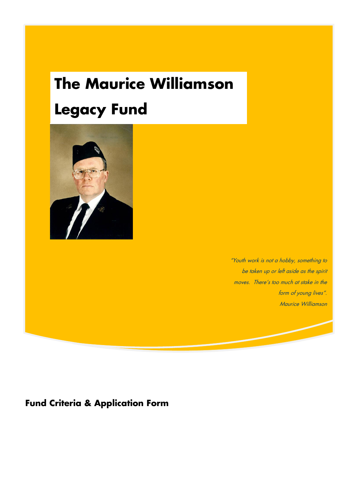# **The Maurice Williamson Legacy Fund**



"Youth work is not a hobby, something to be taken up or left aside as the spirit moves. There's too much at stake in the form of young lives". Maurice Williamson

**Fund Criteria & Application Form**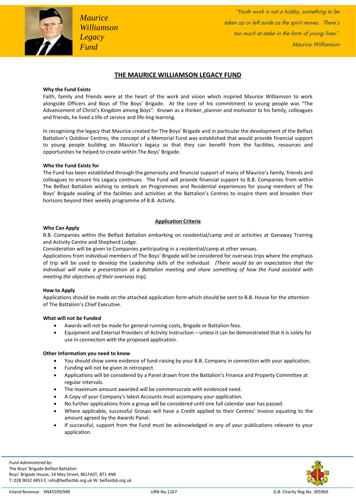

### **THE MAURICE WILLIAMSON LEGACY FUND**

#### **Why the Fund Exists**

Faith, family and friends were at the heart of the work and vision which inspired Maurice Williamson to work alongside Officers and Boys of The Boys' Brigade. At the core of his commitment to young people was "The Advancement of Christ's Kingdom among Boys". Known as a thinker, planner and motivator to his family, colleagues and friends, he lived a life of service and life-ling learning.

In recognising the legacy that Maurice created for The Boys' Brigade and in particular the development of the Belfast Battalion's Outdoor Centres, the concept of a Memorial Fund was established that would provide financial support to young people building on Maurice's legacy so that they can benefit from the facilities, resources and opportunities he helped to create within The Boys' Brigade.

#### **Who the Fund Exists for**

The Fund has been established through the generosity and financial support of many of Maurice's family, friends and colleagues to ensure his Legacy continues. The Fund will provide financial support to B.B. Companies from within The Belfast Battalion wishing to embark on Programmes and Residential experiences for young members of The Boys' Brigade availing of the facilities and activities at the Battalion's Centres to inspire them and broaden their horizons beyond their weekly programme of B.B. Activity.

#### **Application Criteria**

#### **Who Can Apply**

B.B. Companies within the Belfast Battalion embarking on residential/camp and or activities at Ganaway Training and Activity Centre and Shepherd Lodge.

Consideration will be given to Companies participating in a residential/camp at other venues.

Applications from individual members of The Boys' Brigade will be considered for overseas trips where the emphasis of trip will be used to develop the Leadership skills of the individual. *(There would be an expectation that the individual will make a presentation at a Battalion meeting and share something of how the Fund assisted with meeting the objectives of their overseas trip).*

#### **How to Apply**

Applications should be made on the attached application form which should be sent to B.B. House for the attention of The Battalion's Chief Executive.

#### **What will not be Funded**

- Awards will not be made for general running costs, Brigade or Battalion fees.
- Equipment and External Providers of Activity Instruction unless it can be demonstrated that it is solely for use in connection with the proposed application.

#### **Other Information you need to know**

- You should show some evidence of fund-raising by your B.B. Company in connection with your application.
- Funding will not be given in retrospect.
- Applications will be considered by a Panel drawn from the Battalion's Finance and Property Committee at regular intervals.
- The maximum amount awarded will be commensurate with evidenced need.
- A Copy of your Company's latest Accounts must accompany your application.
- No further applications from a group will be considered until one full calendar year has passed.
- Where applicable, successful Groups will have a Credit applied to their Centres' Invoice equating to the amount agreed by the Awards Panel.
- If successful, support from the Fund must be acknowledged in any of your publications relevant to your application.

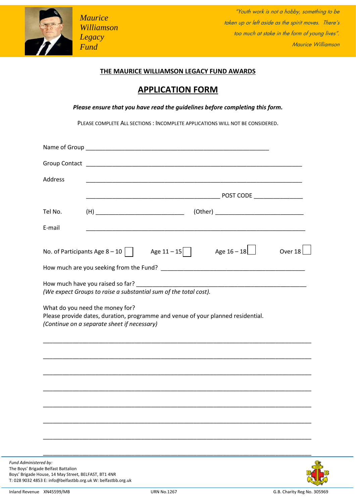

*Maurice Williamson Legacy Fund*

 $H_{\rm eff}$  as  $William$  construction of the spirit moves. There's the spirit moves. There's "Youth work is not a hobby, something to be too much at stake in the form of young lives". Maurice Williamson

## **THE MAURICE WILLIAMSON LEGACY FUND AWARDS**

# **APPLICATION FORM**

*Please ensure that you have read the guidelines before completing this form.*

PLEASE COMPLETE ALL SECTIONS : INCOMPLETE APPLICATIONS WILL NOT BE CONSIDERED.

| Address |                                                                                                                                                                    |               |         |
|---------|--------------------------------------------------------------------------------------------------------------------------------------------------------------------|---------------|---------|
|         |                                                                                                                                                                    |               |         |
| Tel No. |                                                                                                                                                                    |               |         |
| E-mail  | <u> 1980 - Jan James James James James James James James James James James James James James James James James J</u>                                               |               |         |
|         | No. of Participants Age 8 – 10     Age $11-15$                                                                                                                     | Age $16 - 18$ | Over 18 |
|         |                                                                                                                                                                    |               |         |
|         |                                                                                                                                                                    |               |         |
|         | What do you need the money for?<br>Please provide dates, duration, programme and venue of your planned residential.<br>(Continue on a separate sheet if necessary) |               |         |
|         |                                                                                                                                                                    |               |         |
|         |                                                                                                                                                                    |               |         |
|         |                                                                                                                                                                    |               |         |
|         |                                                                                                                                                                    |               |         |
|         |                                                                                                                                                                    |               |         |
|         |                                                                                                                                                                    |               |         |
|         |                                                                                                                                                                    |               |         |



Boys' Brigade House, 14 May Street, BELFAST, BT1 4NR T: 028 9032 4853 E: info@belfastbb.org.uk W: belfastbb.org.uk